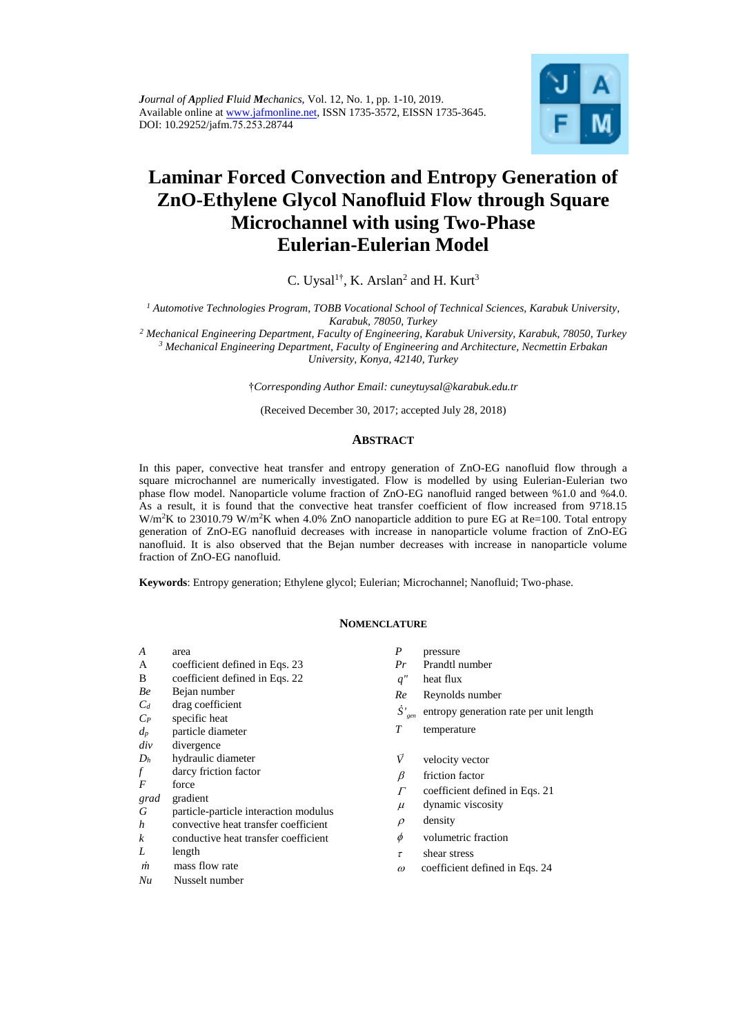

# **Laminar Forced Convection and Entropy Generation of ZnO-Ethylene Glycol Nanofluid Flow through Square Microchannel with using Two-Phase Eulerian-Eulerian Model**

C. Uysal<sup>1†</sup>, K. Arslan<sup>2</sup> and H. Kurt<sup>3</sup>

<sup>1</sup> Automotive Technologies Program, TOBB Vocational School of Technical Sciences, Karabuk University, *Karabuk, 78050, Turkey* 

<sup>2</sup> Mechanical Engineering Department, Faculty of Engineering, Karabuk University, Karabuk, 78050, Turkey <sup>3</sup> Mechanical Engineering Department, Faculty of Engineering and Architecture, Necmettin Erbakan *University, Konya, 42140, Turkey* 

†*Corresponding Author Email: [cuneytuysal@karabuk.edu.tr](mailto:cuneytuysal@karabuk.edu.tr)*

(Received December 30, 2017; accepted July 28, 2018)

# **ABSTRACT**

In this paper, convective heat transfer and entropy generation of ZnO-EG nanofluid flow through a square microchannel are numerically investigated. Flow is modelled by using Eulerian-Eulerian two phase flow model. Nanoparticle volume fraction of ZnO-EG nanofluid ranged between %1.0 and %4.0. As a result, it is found that the convective heat transfer coefficient of flow increased from 9718.15 W/m<sup>2</sup>K to 23010.79 W/m<sup>2</sup>K when 4.0% ZnO nanoparticle addition to pure EG at Re=100. Total entropy generation of ZnO-EG nanofluid decreases with increase in nanoparticle volume fraction of ZnO-EG nanofluid. It is also observed that the Bejan number decreases with increase in nanoparticle volume fraction of ZnO-EG nanofluid.

**Keywords**: Entropy generation; Ethylene glycol; Eulerian; Microchannel; Nanofluid; Two-phase.

# **NOMENCLATURE**

- *A* area
- A coefficient defined in Eqs. 23
- B coefficient defined in Eqs. 22
- *Be* Bejan number
- *C<sup>d</sup>* drag coefficient
- *CP* specific heat
- *d<sup>p</sup>* particle diameter
- *div* divergence
- *D<sup>h</sup>* hydraulic diameter
- $f$  darcy friction factor
- $force$
- *grad* gradient
- *G* particle-particle interaction modulus
- *h* convective heat transfer coefficient
- *k* conductive heat transfer coefficient
- *L* length
- *m* mass flow rate
- *Nu* Nusselt number
- *P* pressure
- *Pr* Prandtl number
- *q"* heat flux
- *Re* Reynolds number
- *S*<sup>'</sup><sub>gen</sub> entropy generation rate per unit length
- *T* temperature
- *V* velocity vector
- $\beta$ friction factor
- $\Gamma$ coefficient defined in Eqs. 21
- $\mu$ dynamic viscosity
- $\Omega$ density
- $\phi$ volumetric fraction
- $\tau$ shear stress
- $\omega$ coefficient defined in Eqs. 24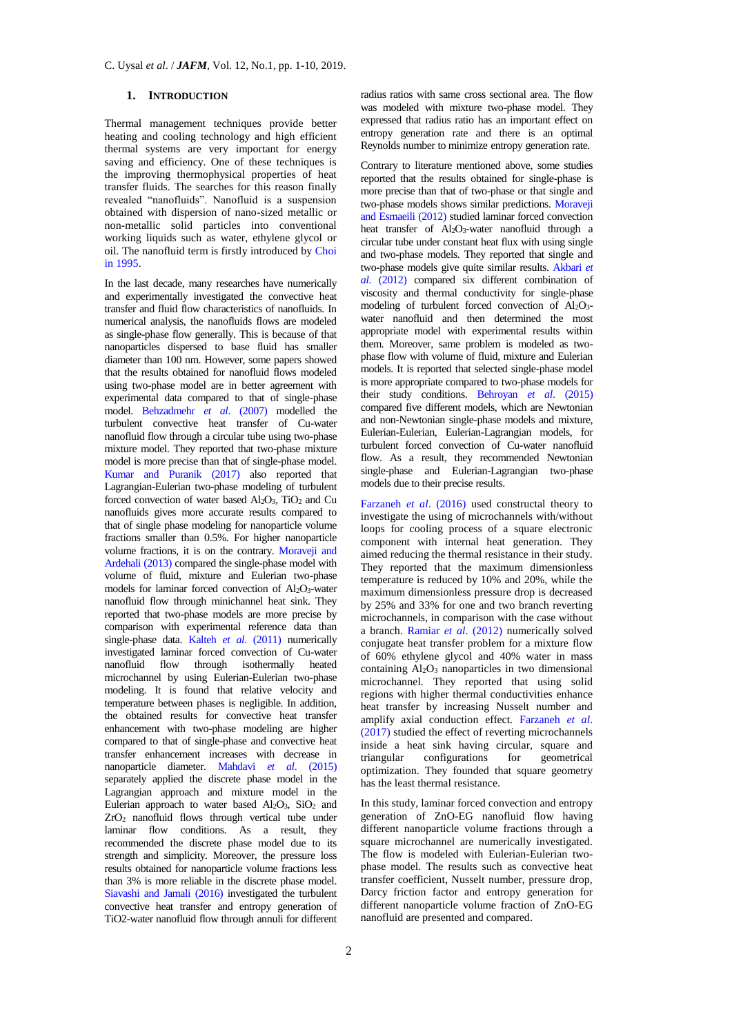# **1. INTRODUCTION**

Thermal management techniques provide better heating and cooling technology and high efficient thermal systems are very important for energy saving and efficiency. One of these techniques is the improving thermophysical properties of heat transfer fluids. The searches for this reason finally revealed "nanofluids". Nanofluid is a suspension obtained with dispersion of nano-sized metallic or non-metallic solid particles into conventional working liquids such as water, ethylene glycol or oil. The nanofluid term is firstly introduced by [Choi](#page-8-0)  [in 1995.](#page-8-0) 

In the last decade, many researches have numerically and experimentally investigated the convective heat transfer and fluid flow characteristics of nanofluids. In numerical analysis, the nanofluids flows are modeled as single-phase flow generally. This is because of that nanoparticles dispersed to base fluid has smaller diameter than 100 nm. However, some papers showed that the results obtained for nanofluid flows modeled using two-phase model are in better agreement with experimental data compared to that of single-phase model. [Behzadmehr](#page-8-1) *et al*. (2007) modelled the turbulent convective heat transfer of Cu-water nanofluid flow through a circular tube using two-phase mixture model. They reported that two-phase mixture model is more precise than that of single-phase model. [Kumar and Puranik \(2017\)](#page-8-2) also reported that Lagrangian-Eulerian two-phase modeling of turbulent forced convection of water based  $Al_2O_3$ ,  $TiO_2$  and Cu nanofluids gives more accurate results compared to that of single phase modeling for nanoparticle volume fractions smaller than 0.5%. For higher nanoparticle volume fractions, it is on the contrary. [Moraveji and](#page-9-0)  [Ardehali \(2013\)](#page-9-0) compared the single-phase model with volume of fluid, mixture and Eulerian two-phase models for laminar forced convection of Al2O3-water nanofluid flow through minichannel heat sink. They reported that two-phase models are more precise by comparison with experimental reference data than single-phase data. Kalteh *et al*[. \(2011\)](#page-8-3) numerically investigated laminar forced convection of Cu-water nanofluid flow through isothermally heated microchannel by using Eulerian-Eulerian two-phase modeling. It is found that relative velocity and temperature between phases is negligible. In addition, the obtained results for convective heat transfer enhancement with two-phase modeling are higher compared to that of single-phase and convective heat transfer enhancement increases with decrease in nanoparticle diameter. [Mahdavi](#page-9-1) *et al*. (2015) separately applied the discrete phase model in the Lagrangian approach and mixture model in the Eulerian approach to water based  $Al_2O_3$ ,  $SiO_2$  and ZrO<sup>2</sup> nanofluid flows through vertical tube under laminar flow conditions. As a result, they recommended the discrete phase model due to its strength and simplicity. Moreover, the pressure loss results obtained for nanoparticle volume fractions less than 3% is more reliable in the discrete phase model. [Siavashi and Jamali \(2016\)](#page-9-2) investigated the turbulent convective heat transfer and entropy generation of TiO2-water nanofluid flow through annuli for different

2

radius ratios with same cross sectional area. The flow was modeled with mixture two-phase model. They expressed that radius ratio has an important effect on entropy generation rate and there is an optimal Reynolds number to minimize entropy generation rate.

Contrary to literature mentioned above, some studies reported that the results obtained for single-phase is more precise than that of two-phase or that single and two-phase models shows similar predictions. Moraveji [and Esmaeili \(2012\)](#page-9-3) studied laminar forced convection heat transfer of Al<sub>2</sub>O<sub>3</sub>-water nanofluid through a circular tube under constant heat flux with using single and two-phase models. They reported that single and two-phase models give quite similar results. [Akbari](#page-8-4) *et al*[. \(2012\)](#page-8-4) compared six different combination of viscosity and thermal conductivity for single-phase modeling of turbulent forced convection of Al2O3 water nanofluid and then determined the most appropriate model with experimental results within them. Moreover, same problem is modeled as twophase flow with volume of fluid, mixture and Eulerian models. It is reported that selected single-phase model is more appropriate compared to two-phase models for their study conditions. [Behroyan](#page-8-5) *et al*. (2015) compared five different models, which are Newtonian and non-Newtonian single-phase models and mixture, Eulerian-Eulerian, Eulerian-Lagrangian models, for turbulent forced convection of Cu-water nanofluid flow. As a result, they recommended Newtonian single-phase and Eulerian-Lagrangian two-phase models due to their precise results.

[Farzaneh](#page-8-6) *et al*. (2016) used constructal theory to investigate the using of microchannels with/without loops for cooling process of a square electronic component with internal heat generation. They aimed reducing the thermal resistance in their study. They reported that the maximum dimensionless temperature is reduced by 10% and 20%, while the maximum dimensionless pressure drop is decreased by 25% and 33% for one and two branch reverting microchannels, in comparison with the case without a branch. [Ramiar](#page-9-4) *et al*. (2012) numerically solved conjugate heat transfer problem for a mixture flow of 60% ethylene glycol and 40% water in mass containing  $Al_2O_3$  nanoparticles in two dimensional microchannel. They reported that using solid regions with higher thermal conductivities enhance heat transfer by increasing Nusselt number and amplify axial conduction effect. Farzaneh *et al*. (2017) studied the effect of reverting microchannels inside a heat sink having circular, square and triangular configurations for geometrical optimization. They founded that square geometry has the least thermal resistance.

In this study, laminar forced convection and entropy generation of ZnO-EG nanofluid flow having different nanoparticle volume fractions through a square microchannel are numerically investigated. The flow is modeled with Eulerian-Eulerian twophase model. The results such as convective heat transfer coefficient, Nusselt number, pressure drop, Darcy friction factor and entropy generation for different nanoparticle volume fraction of ZnO-EG nanofluid are presented and compared.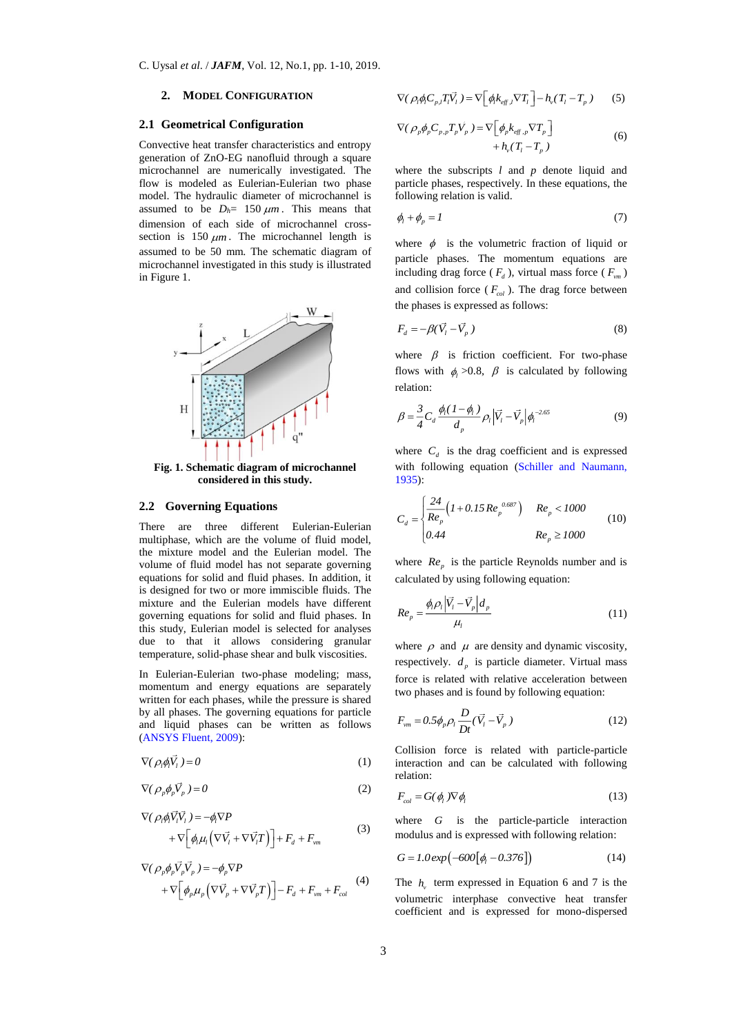### **2. MODEL CONFIGURATION**

## **2.1 Geometrical Configuration**

Convective heat transfer characteristics and entropy generation of ZnO-EG nanofluid through a square microchannel are numerically investigated. The flow is modeled as Eulerian-Eulerian two phase model. The hydraulic diameter of microchannel is assumed to be  $D_h = 150 \ \mu m$ . This means that dimension of each side of microchannel crosssection is  $150 \ \mu m$ . The microchannel length is assumed to be 50 mm. The schematic diagram of microchannel investigated in this study is illustrated in Figure 1.



**Fig. 1. Schematic diagram of microchannel considered in this study.**

### **2.2 Governing Equations**

There are three different Eulerian-Eulerian multiphase, which are the volume of fluid model, the mixture model and the Eulerian model. The volume of fluid model has not separate governing equations for solid and fluid phases. In addition, it is designed for two or more immiscible fluids. The mixture and the Eulerian models have different governing equations for solid and fluid phases. In this study, Eulerian model is selected for analyses due to that it allows considering granular temperature, solid-phase shear and bulk viscosities.

In Eulerian-Eulerian two-phase modeling; mass, momentum and energy equations are separately written for each phases, while the pressure is shared by all phases. The governing equations for particle and liquid phases can be written as follows [\(ANSYS Fluent, 2009\)](#page-8-7):

$$
\nabla(\rho_l \phi_l V_l) = 0 \tag{1}
$$

$$
\nabla (\rho_p \phi_p \vec{V}_p) = 0 \tag{2}
$$

$$
\nabla (\rho_l \phi_l \vec{V}_l \vec{V}_l) = -\phi_l \nabla P + \nabla \Big[ \phi_l \mu_l \Big( \nabla \vec{V}_l + \nabla \vec{V}_l T \Big) \Big] + F_d + F_{vm}
$$
(3)

$$
\nabla (\rho_p \phi_p \vec{V}_p \vec{V}_p) = -\phi_p \nabla P \n+ \nabla \left[ \phi_p \mu_p \left( \nabla \vec{V}_p + \nabla \vec{V}_p T \right) \right] - F_d + F_{vm} + F_{col}
$$
\n(4)

$$
\nabla (\rho_i \phi_i C_{p,i} T_i \vec{V}_i) = \nabla \left[ \phi_i k_{\text{eff},i} \nabla T_i \right] - h_v (T_i - T_p) \tag{5}
$$

$$
\nabla (\rho_p \phi_p C_{p,p} T_p \vec{V}_p) = \nabla \Big[ \phi_p k_{\text{eff},p} \nabla T_p \Big] + h_v (T_l - T_p) \tag{6}
$$

where the subscripts *l* and *p* denote liquid and particle phases, respectively. In these equations, the following relation is valid.

$$
\phi_l + \phi_p = I \tag{7}
$$

where  $\phi$  is the volumetric fraction of liquid or particle phases. The momentum equations are including drag force ( $F_d$ ), virtual mass force ( $F_{vm}$ ) and collision force ( $F_{col}$ ). The drag force between the phases is expressed as follows:

$$
F_d = -\beta(\vec{V}_l - \vec{V}_p) \tag{8}
$$

where  $\beta$  is friction coefficient. For two-phase flows with  $\phi_l > 0.8$ ,  $\beta$  is calculated by following relation:

$$
\beta = \frac{3}{4} C_d \frac{\phi_l (1 - \phi_l)}{d_p} \rho_l |\vec{V}_l - \vec{V}_p| \phi_l^{-2.65}
$$
\n(9)

where  $C_d$  is the drag coefficient and is expressed with following equation (Schiller and Naumann, [1935\)](#page-9-5):

$$
C_d = \begin{cases} \frac{24}{Re_p} \Big( 1 + 0.15 Re_p^{0.687} \Big) & Re_p < 1000\\ 0.44 & Re_p \ge 1000 \end{cases}
$$
(10)

where  $Re_p$  is the particle Reynolds number and is calculated by using following equation:

$$
Re_p = \frac{\phi_i \rho_i |\vec{V}_i - \vec{V}_p| d_p}{\mu_l} \tag{11}
$$

where  $\rho$  and  $\mu$  are density and dynamic viscosity, respectively.  $d_p$  is particle diameter. Virtual mass force is related with relative acceleration between two phases and is found by following equation:

$$
F_{vm} = 0.5 \phi_p \rho_l \frac{D}{Dt} (\vec{V}_l - \vec{V}_p)
$$
 (12)

Collision force is related with particle-particle interaction and can be calculated with following relation:

$$
F_{col} = G(\phi_l) \nabla \phi_l \tag{13}
$$

where *G* is the particle-particle interaction modulus and is expressed with following relation:

$$
G = 1.0 \exp(-600[\phi_1 - 0.376])
$$
 (14)

The  $h_{v}$  term expressed in Equation 6 and 7 is the volumetric interphase convective heat transfer coefficient and is expressed for mono-dispersed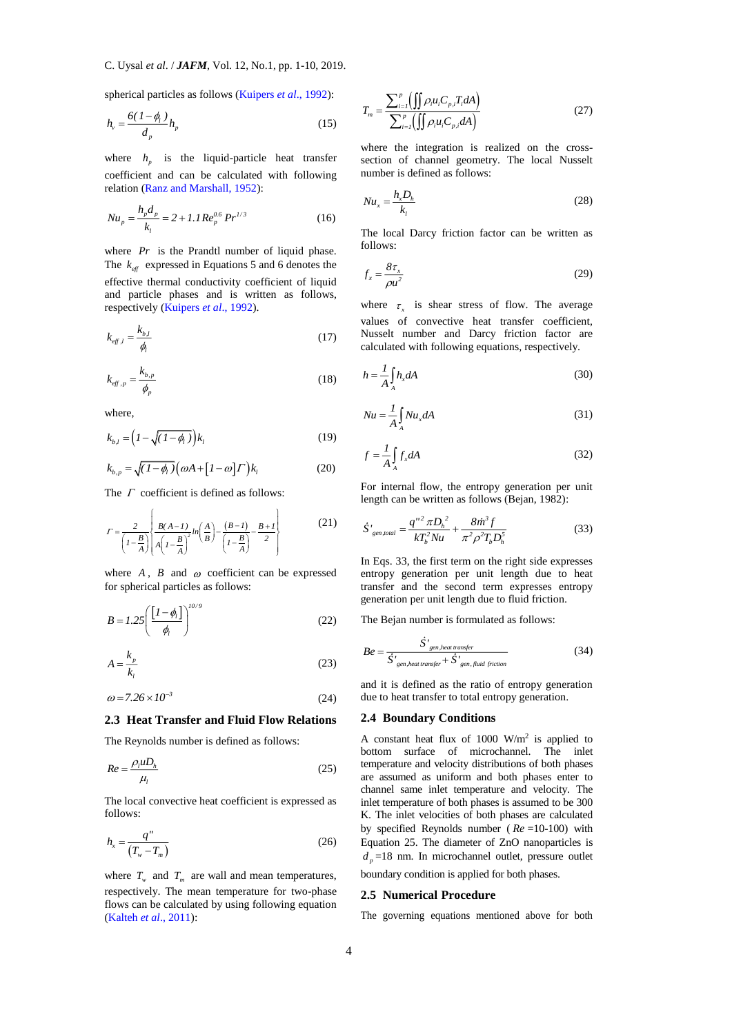spherical particles as follows [\(Kuipers](#page-8-8) *et al*., 1992):

$$
h_v = \frac{6(1 - \phi_l)}{d_p} h_p \tag{15}
$$

where  $h_p$  is the liquid-particle heat transfer coefficient and can be calculated with following relation [\(Ranz and Marshall, 1952\)](#page-9-6):

$$
Nu_p = \frac{h_p d_p}{k_l} = 2 + 1.1 Re_p^{0.6} Pr^{1/3}
$$
 (16)

where  $Pr$  is the Prandtl number of liquid phase. The  $k_{\text{eff}}$  expressed in Equations 5 and 6 denotes the effective thermal conductivity coefficient of liquid and particle phases and is written as follows, respectively [\(Kuipers](#page-8-8) *et al*., 1992).

$$
k_{\text{eff},l} = \frac{k_{b,l}}{\phi_l} \tag{17}
$$

$$
k_{eff,p} = \frac{k_{b,p}}{\phi_p} \tag{18}
$$

where,

$$
k_{b,l} = \left(I - \sqrt{(I - \phi_l)}\right)k_l
$$
\n(19)

$$
k_{b,p} = \sqrt{(I - \phi_l)} \left( \omega A + [I - \omega] \right) k_l \tag{20}
$$

The  $\Gamma$  coefficient is defined as follows:

$$
I = \frac{2}{\left(1 - \frac{B}{A}\right)} \left\{ \frac{B(A - I)}{A \left(1 - \frac{B}{A}\right)^2} ln\left(\frac{A}{B}\right) - \frac{(B - I)}{\left(1 - \frac{B}{A}\right)} - \frac{B + I}{2} \right\}
$$
(21)

where  $A$ ,  $B$  and  $\omega$  coefficient can be expressed for spherical particles as follows:

$$
B = I.25 \left( \frac{\left[ I - \phi_l \right]}{\phi_l} \right)^{10/9} \tag{22}
$$

$$
A = \frac{k_p}{k_l} \tag{23}
$$

$$
\omega = 7.26 \times 10^{-3} \tag{24}
$$

## **2.3 Heat Transfer and Fluid Flow Relations**

The Reynolds number is defined as follows:

$$
Re = \frac{\rho_l u D_h}{\mu_l} \tag{25}
$$

The local convective heat coefficient is expressed as follows:

$$
h_x = \frac{q''}{\left(T_w - T_m\right)}\tag{26}
$$

where  $T_w$  and  $T_m$  are wall and mean temperatures, respectively. The mean temperature for two-phase flows can be calculated by using following equation [\(Kalteh](#page-8-3) *et al*., 2011):

$$
T_m = \frac{\sum_{i=1}^p \left( \iint \rho_i u_i C_{p,i} T_i dA \right)}{\sum_{i=1}^p \left( \iint \rho_i u_i C_{p,i} dA \right)}
$$
(27)

where the integration is realized on the crosssection of channel geometry. The local Nusselt number is defined as follows:

$$
Nu_x = \frac{h_x D_h}{k_l} \tag{28}
$$

The local Darcy friction factor can be written as follows:

$$
f_x = \frac{8\tau_x}{\rho u^2} \tag{29}
$$

where  $\tau_{\rm x}$  is shear stress of flow. The average values of convective heat transfer coefficient, Nusselt number and Darcy friction factor are calculated with following equations, respectively.

$$
h = \frac{1}{A} \int_{A} h_x dA \tag{30}
$$

$$
Nu = \frac{1}{A} \int_{A} Nu_{x} dA
$$
\n(31)

$$
f = \frac{1}{A} \int_{A} f_x dA \tag{32}
$$

For internal flow, the entropy generation per unit length can be written as follows (Bejan, 1982):

$$
\dot{S'}_{gen, total} = \frac{q''^2 \pi D_h^2}{k T_b^2 N u} + \frac{8 \dot{m}^3 f}{\pi^2 \rho^2 T_b D_h^5}
$$
(33)

In Eqs. 33, the first term on the right side expresses entropy generation per unit length due to heat transfer and the second term expresses entropy generation per unit length due to fluid friction.

The Bejan number is formulated as follows:

$$
Be = \frac{\dot{S}^{\prime}_{gen, heat\ transfer}}{\dot{S}^{\prime}_{gen, heat\ transfer} + \dot{S}^{\prime}_{gen, fluid\ friction}}
$$
(34)

and it is defined as the ratio of entropy generation due to heat transfer to total entropy generation.

## **2.4 Boundary Conditions**

A constant heat flux of  $1000 \text{ W/m}^2$  is applied to bottom surface of microchannel. The inlet temperature and velocity distributions of both phases are assumed as uniform and both phases enter to channel same inlet temperature and velocity. The inlet temperature of both phases is assumed to be 300 K. The inlet velocities of both phases are calculated by specified Reynolds number ( *Re* =10-100) with Equation 25. The diameter of ZnO nanoparticles is  $d_p = 18$  nm. In microchannel outlet, pressure outlet boundary condition is applied for both phases.

#### **2.5 Numerical Procedure**

The governing equations mentioned above for both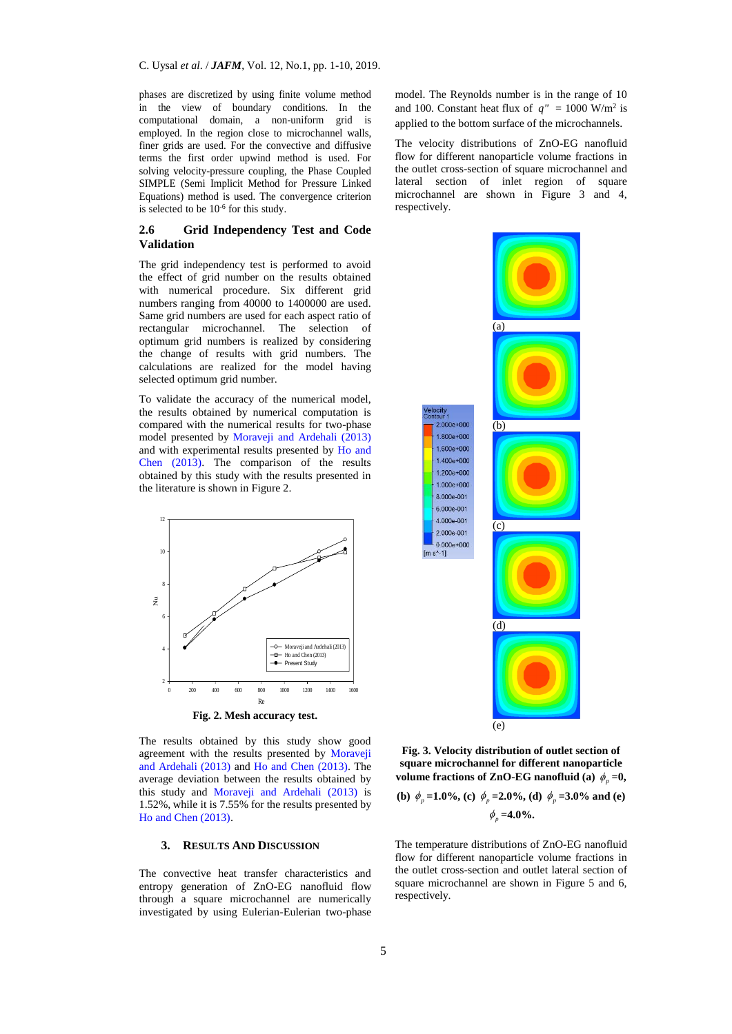phases are discretized by using finite volume method in the view of boundary conditions. In the computational domain, a non-uniform grid is employed. In the region close to microchannel walls, finer grids are used. For the convective and diffusive terms the first order upwind method is used. For solving velocity-pressure coupling, the Phase Coupled SIMPLE (Semi Implicit Method for Pressure Linked Equations) method is used. The convergence criterion is selected to be  $10^{-6}$  for this study.

# **2.6 Grid Independency Test and Code Validation**

The grid independency test is performed to avoid the effect of grid number on the results obtained with numerical procedure. Six different grid numbers ranging from 40000 to 1400000 are used. Same grid numbers are used for each aspect ratio of rectangular microchannel. The selection of optimum grid numbers is realized by considering the change of results with grid numbers. The calculations are realized for the model having selected optimum grid number.

To validate the accuracy of the numerical model, the results obtained by numerical computation is compared with the numerical results for two-phase model presented by [Moraveji and Ardehali \(2013\)](#page-9-0) and with experimental results presented by [Ho and](#page-8-9)  [Chen \(2013\).](#page-8-9) The comparison of the results obtained by this study with the results presented in the literature is shown in Figure 2.



The results obtained by this study show good agreement with the results presented by [Moraveji](#page-9-0)  [and Ardehali \(2013\)](#page-9-0) and [Ho and Chen \(2013\).](#page-8-9) The average deviation between the results obtained by this study and [Moraveji and Ardehali \(2013\)](#page-9-0) is 1.52%, while it is 7.55% for the results presented by [Ho and Chen \(2013\).](#page-8-9)

#### **3. RESULTS AND DISCUSSION**

The convective heat transfer characteristics and entropy generation of ZnO-EG nanofluid flow through a square microchannel are numerically investigated by using Eulerian-Eulerian two-phase model. The Reynolds number is in the range of 10 and 100. Constant heat flux of  $q'' = 1000$  W/m<sup>2</sup> is applied to the bottom surface of the microchannels.

The velocity distributions of ZnO-EG nanofluid flow for different nanoparticle volume fractions in the outlet cross-section of square microchannel and lateral section of inlet region of square microchannel are shown in Figure 3 and 4, respectively.



 $\text{Im }$  s<sup>^</sup>-11

**Fig. 3. Velocity distribution of outlet section of square microchannel for different nanoparticle**  volume fractions of ZnO-EG nanofluid (a)  $\phi_p = 0$ ,

(b) 
$$
\phi_p = 1.0\%
$$
, (c)  $\phi_p = 2.0\%$ , (d)  $\phi_p = 3.0\%$  and (e)  
 $\phi_p = 4.0\%$ .

The temperature distributions of ZnO-EG nanofluid flow for different nanoparticle volume fractions in the outlet cross-section and outlet lateral section of square microchannel are shown in Figure 5 and 6, respectively.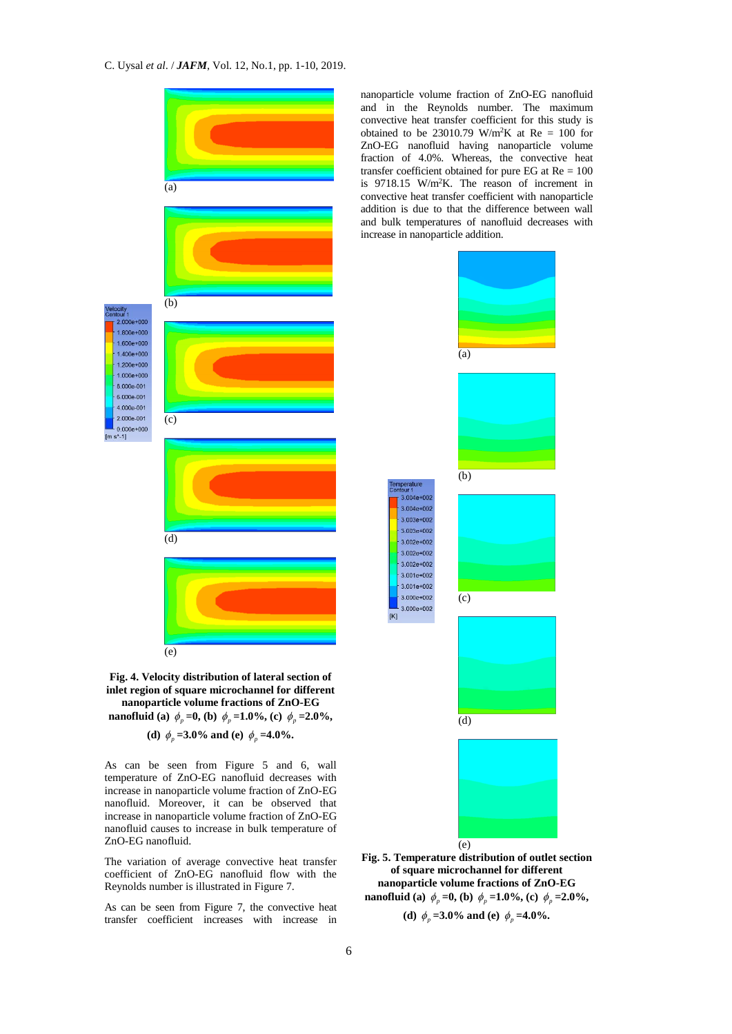



**(d)**  $\phi_p = 3.0\%$  and **(e)**  $\phi_p = 4.0\%$ .

As can be seen from Figure 5 and 6, wall temperature of ZnO-EG nanofluid decreases with increase in nanoparticle volume fraction of ZnO-EG nanofluid. Moreover, it can be observed that increase in nanoparticle volume fraction of ZnO-EG nanofluid causes to increase in bulk temperature of ZnO-EG nanofluid.

The variation of average convective heat transfer coefficient of ZnO-EG nanofluid flow with the Reynolds number is illustrated in Figure 7.

As can be seen from Figure 7, the convective heat transfer coefficient increases with increase in

nanoparticle volume fraction of ZnO-EG nanofluid and in the Reynolds number. The maximum convective heat transfer coefficient for this study is obtained to be 23010.79 W/m<sup>2</sup>K at Re = 100 for ZnO-EG nanofluid having nanoparticle volume fraction of 4.0%. Whereas, the convective heat transfer coefficient obtained for pure EG at  $Re = 100$ is 9718.15 W/m<sup>2</sup>K. The reason of increment in convective heat transfer coefficient with nanoparticle addition is due to that the difference between wall and bulk temperatures of nanofluid decreases with increase in nanoparticle addition.



**Fig. 5. Temperature distribution of outlet section of square microchannel for different nanoparticle volume fractions of ZnO-EG nanofluid** (a)  $\phi_p = 0$ , (b)  $\phi_p = 1.0\%$ , (c)  $\phi_p = 2.0\%$ ,

**(d)**  $\phi_p = 3.0\%$  and **(e)**  $\phi_p = 4.0\%$ .

 $[K]$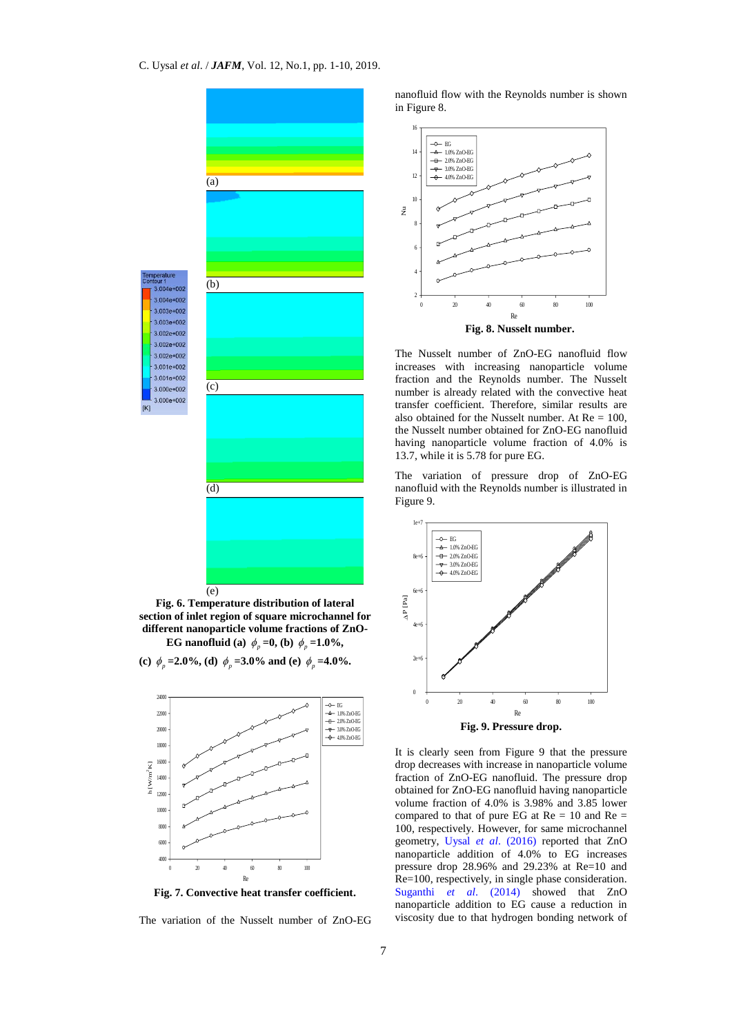

**Fig. 6. Temperature distribution of lateral section of inlet region of square microchannel for different nanoparticle volume fractions of ZnO-EG** nanofluid (a)  $\phi_p = 0$ , (b)  $\phi_p = 1.0\%$ ,

(c)  $\phi_p = 2.0\%$ , (d)  $\phi_p = 3.0\%$  and (e)  $\phi_p = 4.0\%$ .



**Fig. 7. Convective heat transfer coefficient.**

The variation of the Nusselt number of ZnO-EG

nanofluid flow with the Reynolds number is shown in Figure 8.



The Nusselt number of ZnO-EG nanofluid flow increases with increasing nanoparticle volume fraction and the Reynolds number. The Nusselt number is already related with the convective heat transfer coefficient. Therefore, similar results are also obtained for the Nusselt number. At  $Re = 100$ , the Nusselt number obtained for ZnO-EG nanofluid having nanoparticle volume fraction of 4.0% is 13.7, while it is 5.78 for pure EG.

The variation of pressure drop of ZnO-EG nanofluid with the Reynolds number is illustrated in Figure 9.



It is clearly seen from Figure 9 that the pressure drop decreases with increase in nanoparticle volume fraction of ZnO-EG nanofluid. The pressure drop obtained for ZnO-EG nanofluid having nanoparticle volume fraction of 4.0% is 3.98% and 3.85 lower compared to that of pure EG at  $Re = 10$  and  $Re =$ 100, respectively. However, for same microchannel geometry, Uysal *et al*[. \(2016\)](#page-9-7) reported that ZnO nanoparticle addition of 4.0% to EG increases pressure drop 28.96% and 29.23% at Re=10 and Re=100, respectively, in single phase consideration. Suganthi *et al*[. \(2014\)](#page-9-8) showed that ZnO nanoparticle addition to EG cause a reduction in viscosity due to that hydrogen bonding network of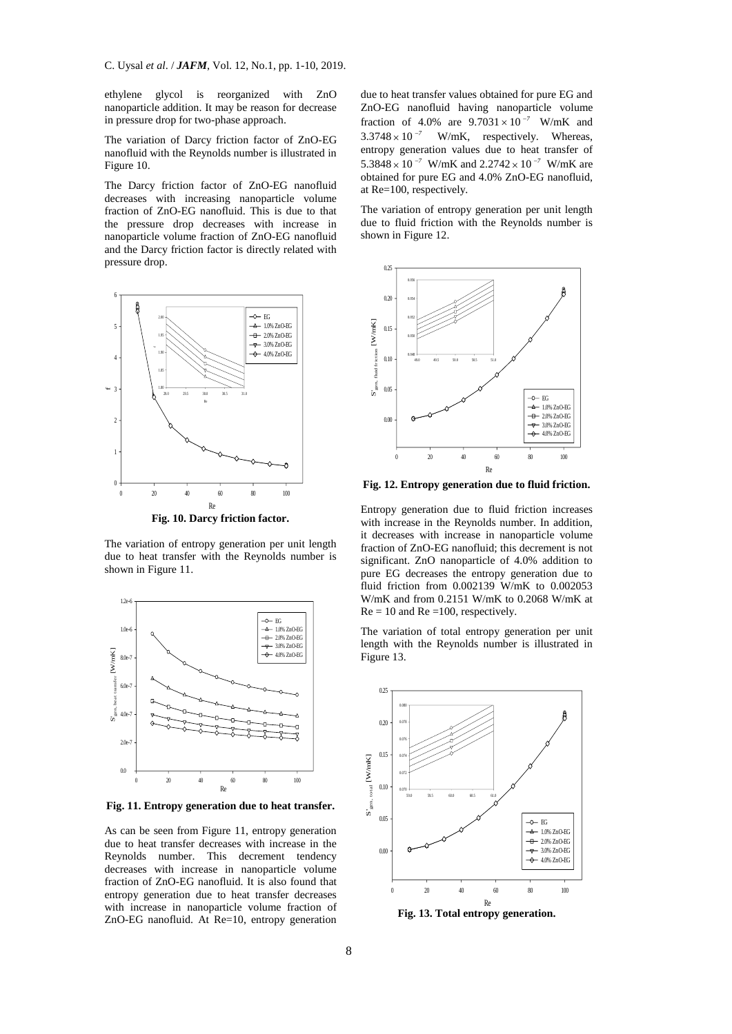C. Uysal *et al*. / *JAFM*, Vol. 12, No.1, pp. 1-10, 2019.

ethylene glycol is reorganized with ZnO nanoparticle addition. It may be reason for decrease in pressure drop for two-phase approach.

The variation of Darcy friction factor of ZnO-EG nanofluid with the Reynolds number is illustrated in Figure 10.

The Darcy friction factor of ZnO-EG nanofluid decreases with increasing nanoparticle volume fraction of ZnO-EG nanofluid. This is due to that the pressure drop decreases with increase in nanoparticle volume fraction of ZnO-EG nanofluid and the Darcy friction factor is directly related with pressure drop.



**Fig. 10. Darcy friction factor.**

The variation of entropy generation per unit length due to heat transfer with the Reynolds number is shown in Figure 11.



**Fig. 11. Entropy generation due to heat transfer.**

As can be seen from Figure 11, entropy generation due to heat transfer decreases with increase in the Reynolds number. This decrement tendency decreases with increase in nanoparticle volume fraction of ZnO-EG nanofluid. It is also found that entropy generation due to heat transfer decreases with increase in nanoparticle volume fraction of ZnO-EG nanofluid. At Re=10, entropy generation

due to heat transfer values obtained for pure EG and ZnO-EG nanofluid having nanoparticle volume fraction of 4.0% are  $9.7031 \times 10^{-7}$  W/mK and  $3.3748 \times 10^{-7}$  W/mK, respectively. Whereas, entropy generation values due to heat transfer of 5.3848  $\times$  10<sup>-7</sup> W/mK and 2.2742  $\times$  10<sup>-7</sup> W/mK are obtained for pure EG and 4.0% ZnO-EG nanofluid, at Re=100, respectively.

The variation of entropy generation per unit length due to fluid friction with the Reynolds number is shown in Figure 12.



**Fig. 12. Entropy generation due to fluid friction.**

Entropy generation due to fluid friction increases with increase in the Reynolds number. In addition, it decreases with increase in nanoparticle volume fraction of ZnO-EG nanofluid; this decrement is not significant. ZnO nanoparticle of 4.0% addition to pure EG decreases the entropy generation due to fluid friction from 0.002139 W/mK to 0.002053 W/mK and from 0.2151 W/mK to 0.2068 W/mK at  $Re = 10$  and  $Re = 100$ , respectively.

The variation of total entropy generation per unit length with the Reynolds number is illustrated in Figure 13.



**Fig. 13. Total entropy generation.**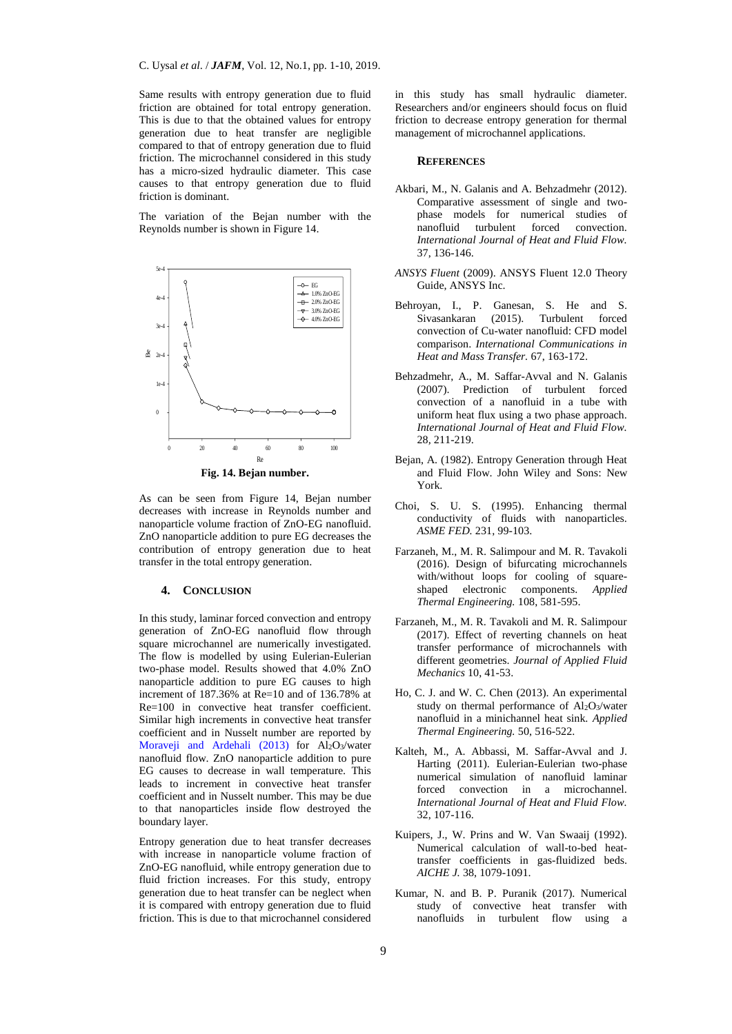Same results with entropy generation due to fluid friction are obtained for total entropy generation. This is due to that the obtained values for entropy generation due to heat transfer are negligible compared to that of entropy generation due to fluid friction. The microchannel considered in this study has a micro-sized hydraulic diameter. This case causes to that entropy generation due to fluid friction is dominant.

The variation of the Bejan number with the Reynolds number is shown in Figure 14.



**Fig. 14. Bejan number.**

As can be seen from Figure 14, Bejan number decreases with increase in Reynolds number and nanoparticle volume fraction of ZnO-EG nanofluid. ZnO nanoparticle addition to pure EG decreases the contribution of entropy generation due to heat transfer in the total entropy generation.

## **4. CONCLUSION**

In this study, laminar forced convection and entropy generation of ZnO-EG nanofluid flow through square microchannel are numerically investigated. The flow is modelled by using Eulerian-Eulerian two-phase model. Results showed that 4.0% ZnO nanoparticle addition to pure EG causes to high increment of 187.36% at Re=10 and of 136.78% at Re=100 in convective heat transfer coefficient. Similar high increments in convective heat transfer coefficient and in Nusselt number are reported by [Moraveji and Ardehali](#page-9-0) (2013) for Al2O3/water nanofluid flow. ZnO nanoparticle addition to pure EG causes to decrease in wall temperature. This leads to increment in convective heat transfer coefficient and in Nusselt number. This may be due to that nanoparticles inside flow destroyed the boundary layer.

Entropy generation due to heat transfer decreases with increase in nanoparticle volume fraction of ZnO-EG nanofluid, while entropy generation due to fluid friction increases. For this study, entropy generation due to heat transfer can be neglect when it is compared with entropy generation due to fluid friction. This is due to that microchannel considered in this study has small hydraulic diameter. Researchers and/or engineers should focus on fluid friction to decrease entropy generation for thermal management of microchannel applications.

## **REFERENCES**

- <span id="page-8-4"></span>Akbari, M., N. Galanis and A. Behzadmehr (2012). Comparative assessment of single and twophase models for numerical studies of nanofluid turbulent forced convection. *International Journal of Heat and Fluid Flow.* 37, 136-146.
- <span id="page-8-7"></span>*ANSYS Fluent* (2009). ANSYS Fluent 12.0 Theory Guide, ANSYS Inc.
- <span id="page-8-5"></span>Behroyan, I., P. Ganesan, S. He and S. Sivasankaran (2015). Turbulent forced convection of Cu-water nanofluid: CFD model comparison. *International Communications in Heat and Mass Transfer.* 67, 163-172.
- <span id="page-8-1"></span>Behzadmehr, A., M. Saffar-Avval and N. Galanis (2007). Prediction of turbulent forced convection of a nanofluid in a tube with uniform heat flux using a two phase approach. *International Journal of Heat and Fluid Flow.*  28*,* 211-219.
- Bejan, A. (1982). Entropy Generation through Heat and Fluid Flow. John Wiley and Sons: New York.
- <span id="page-8-0"></span>Choi, S. U. S. (1995). Enhancing thermal conductivity of fluids with nanoparticles. *ASME FED.* 231, 99-103.
- <span id="page-8-6"></span>Farzaneh, M., M. R. Salimpour and M. R. Tavakoli (2016). Design of bifurcating microchannels with/without loops for cooling of squareshaped electronic components. *Applied Thermal Engineering.* 108, 581-595.
- Farzaneh, M., M. R. Tavakoli and M. R. Salimpour (2017). Effect of reverting channels on heat transfer performance of microchannels with different geometries. *Journal of Applied Fluid Mechanics* 10, 41-53.
- <span id="page-8-9"></span>Ho, C. J. and W. C. Chen (2013). An experimental study on thermal performance of  $Al_2O_3/water$ nanofluid in a minichannel heat sink. *Applied Thermal Engineering.* 50, 516-522.
- <span id="page-8-3"></span>Kalteh, M., A. Abbassi, M. Saffar-Avval and J. Harting (2011). Eulerian-Eulerian two-phase numerical simulation of nanofluid laminar forced convection in a microchannel. *International Journal of Heat and Fluid Flow.* 32, 107-116.
- <span id="page-8-8"></span>Kuipers, J., W. Prins and W. Van Swaaij (1992). Numerical calculation of wall-to-bed heattransfer coefficients in gas-fluidized beds. *AICHE J.* 38, 1079-1091.
- <span id="page-8-2"></span>Kumar, N. and B. P. Puranik (2017). Numerical study of convective heat transfer with nanofluids in turbulent flow using a